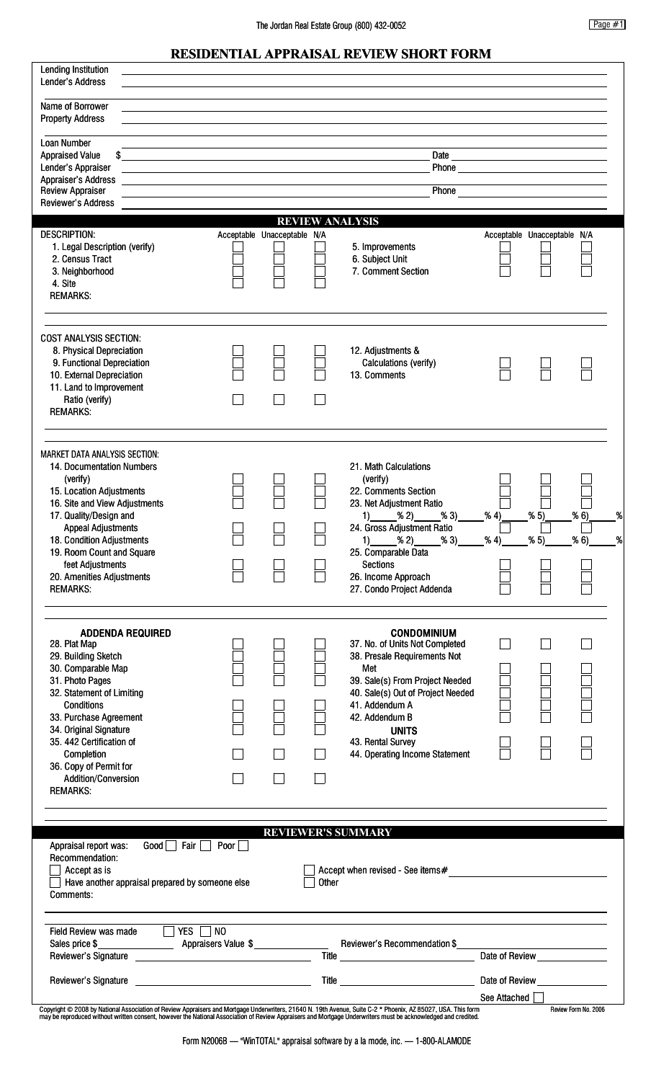## **RESIDENTIAL APPRAISAL REVIEW SHORT FORM**

| <b>Lending Institution</b><br>Lender's Address                                                                                                                                                                                                                                                                                                                                                                                                                            |                                                                                                                                                                                                                                                                                                                                                                                                              |                             |       |                                                                                                                                                                                                                                                                                |                                                   |                             |                      |  |
|---------------------------------------------------------------------------------------------------------------------------------------------------------------------------------------------------------------------------------------------------------------------------------------------------------------------------------------------------------------------------------------------------------------------------------------------------------------------------|--------------------------------------------------------------------------------------------------------------------------------------------------------------------------------------------------------------------------------------------------------------------------------------------------------------------------------------------------------------------------------------------------------------|-----------------------------|-------|--------------------------------------------------------------------------------------------------------------------------------------------------------------------------------------------------------------------------------------------------------------------------------|---------------------------------------------------|-----------------------------|----------------------|--|
| Name of Borrower<br><b>Property Address</b>                                                                                                                                                                                                                                                                                                                                                                                                                               |                                                                                                                                                                                                                                                                                                                                                                                                              |                             |       |                                                                                                                                                                                                                                                                                |                                                   |                             |                      |  |
| <b>Loan Number</b><br><b>Appraised Value</b>                                                                                                                                                                                                                                                                                                                                                                                                                              |                                                                                                                                                                                                                                                                                                                                                                                                              |                             |       |                                                                                                                                                                                                                                                                                |                                                   |                             |                      |  |
| Lender's Appraiser                                                                                                                                                                                                                                                                                                                                                                                                                                                        | \$_<br><u> 1989 - Andrea Branden, amerikansk politik (d. 1989)</u>                                                                                                                                                                                                                                                                                                                                           |                             |       |                                                                                                                                                                                                                                                                                |                                                   |                             |                      |  |
| Appraiser's Address<br><b>Review Appraiser</b>                                                                                                                                                                                                                                                                                                                                                                                                                            | <u> 1980 - Johann Barn, mars ann an t-</u><br>Phone<br><u> 1989 - Andrea State Barbara, president e popularis e popularis e popularis e popularis e popularis e popular</u><br>the control of the control of the control of the control of the control of the control of the control of the control of the control of the control of the control of the control of the control of the control of the control |                             |       |                                                                                                                                                                                                                                                                                |                                                   |                             |                      |  |
| Reviewer's Address                                                                                                                                                                                                                                                                                                                                                                                                                                                        |                                                                                                                                                                                                                                                                                                                                                                                                              |                             |       | <b>REVIEW ANALYSIS</b>                                                                                                                                                                                                                                                         |                                                   |                             |                      |  |
| <b>DESCRIPTION:</b><br>1. Legal Description (verify)<br>2. Census Tract<br>3. Neighborhood<br>4. Site<br><b>REMARKS:</b>                                                                                                                                                                                                                                                                                                                                                  |                                                                                                                                                                                                                                                                                                                                                                                                              | Acceptable Unacceptable N/A |       | 5. Improvements<br>6. Subject Unit<br>7. Comment Section                                                                                                                                                                                                                       |                                                   | Acceptable Unacceptable N/A |                      |  |
| <b>COST ANALYSIS SECTION:</b><br>8. Physical Depreciation<br>9. Functional Depreciation<br>10. External Depreciation<br>11. Land to Improvement<br>Ratio (verify)<br><b>REMARKS:</b>                                                                                                                                                                                                                                                                                      |                                                                                                                                                                                                                                                                                                                                                                                                              |                             |       | 12. Adjustments &<br>Calculations (verify)<br>13. Comments                                                                                                                                                                                                                     |                                                   |                             |                      |  |
| <b>MARKET DATA ANALYSIS SECTION:</b><br>14. Documentation Numbers<br>(verify)<br>15. Location Adjustments<br>16. Site and View Adjustments<br>17. Quality/Design and<br><b>Appeal Adjustments</b><br>18. Condition Adjustments<br>19. Room Count and Square<br>feet Adjustments<br>20. Amenities Adjustments<br><b>REMARKS:</b>                                                                                                                                           |                                                                                                                                                                                                                                                                                                                                                                                                              |                             |       | 21. Math Calculations<br>(verify)<br>22. Comments Section<br>23. Net Adjustment Ratio<br>% 2)<br>% 3)<br>1)<br>24. Gross Adjustment Ratio<br>% 2)<br>% 3)<br>1)<br>25. Comparable Data<br>Sections<br>26. Income Approach<br>27. Condo Project Addenda                         | % 4)<br>% 4)                                      | %5)<br>%5)                  | % 6)<br>% 6)         |  |
| <b>ADDENDA REQUIRED</b><br>28. Plat Map<br>29. Building Sketch<br>30. Comparable Map<br>31. Photo Pages<br>32. Statement of Limiting<br><b>Conditions</b><br>33. Purchase Agreement<br>34. Original Signature<br>35.442 Certification of<br>Completion<br>36. Copy of Permit for<br>Addition/Conversion<br><b>REMARKS:</b>                                                                                                                                                |                                                                                                                                                                                                                                                                                                                                                                                                              |                             |       | <b>CONDOMINIUM</b><br>37. No. of Units Not Completed<br>38. Presale Requirements Not<br>Met<br>39. Sale(s) From Project Needed<br>40. Sale(s) Out of Project Needed<br>41. Addendum A<br>42. Addendum B<br><b>UNITS</b><br>43. Rental Survey<br>44. Operating Income Statement |                                                   |                             |                      |  |
|                                                                                                                                                                                                                                                                                                                                                                                                                                                                           |                                                                                                                                                                                                                                                                                                                                                                                                              |                             |       | <b>REVIEWER'S SUMMARY</b>                                                                                                                                                                                                                                                      |                                                   |                             |                      |  |
| Good<br>Fair<br>Appraisal report was:<br>Recommendation:<br>Accept as is<br>Have another appraisal prepared by someone else<br>Comments:                                                                                                                                                                                                                                                                                                                                  | Poor                                                                                                                                                                                                                                                                                                                                                                                                         |                             | Other |                                                                                                                                                                                                                                                                                |                                                   |                             |                      |  |
| Field Review was made TVES NO                                                                                                                                                                                                                                                                                                                                                                                                                                             |                                                                                                                                                                                                                                                                                                                                                                                                              |                             |       |                                                                                                                                                                                                                                                                                |                                                   |                             |                      |  |
| Reviewer's Signature <b>contained a manufacturer of the series of the series of the series of the series of the series of the series of the series of the series of the series of the series of the series of the series of the </b><br>Copyright © 2008 by National Association of Review Appraisers and Mortgage Underwriters, 21640 N. 19th Avenue, Suite C-2 * Phoenix, AZ 85027, USA. This form<br>may be reproduced without written consent, however the National A |                                                                                                                                                                                                                                                                                                                                                                                                              |                             |       |                                                                                                                                                                                                                                                                                | Date of Review ________________<br>See Attached [ |                             | Review Form No. 2006 |  |